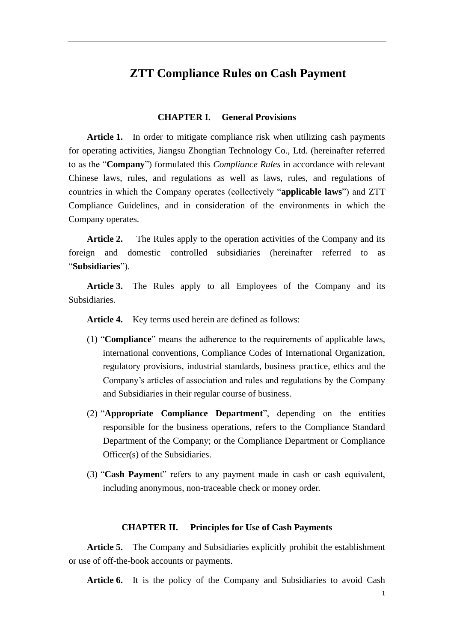## **ZTT Compliance Rules on Cash Payment**

#### **CHAPTER I. General Provisions**

Article 1. In order to mitigate compliance risk when utilizing cash payments for operating activities, Jiangsu Zhongtian Technology Co., Ltd. (hereinafter referred to as the "**Company**") formulated this *Compliance Rules* in accordance with relevant Chinese laws, rules, and regulations as well as laws, rules, and regulations of countries in which the Company operates (collectively "**applicable laws**") and ZTT Compliance Guidelines, and in consideration of the environments in which the Company operates.

**Article 2.** The Rules apply to the operation activities of the Company and its foreign and domestic controlled subsidiaries (hereinafter referred to as "**Subsidiaries**").

**Article 3.** The Rules apply to all Employees of the Company and its Subsidiaries.

**Article 4.** Key terms used herein are defined as follows:

- (1) "**Compliance**" means the adherence to the requirements of applicable laws, international conventions, Compliance Codes of International Organization, regulatory provisions, industrial standards, business practice, ethics and the Company's articles of association and rules and regulations by the Company and Subsidiaries in their regular course of business.
- (2) "**Appropriate Compliance Department**", depending on the entities responsible for the business operations, refers to the Compliance Standard Department of the Company; or the Compliance Department or Compliance Officer(s) of the Subsidiaries.
- (3) "**Cash Paymen**t" refers to any payment made in cash or cash equivalent, including anonymous, non-traceable check or money order.

#### **CHAPTER II. Principles for Use of Cash Payments**

**Article 5.** The Company and Subsidiaries explicitly prohibit the establishment or use of off-the-book accounts or payments.

Article 6. It is the policy of the Company and Subsidiaries to avoid Cash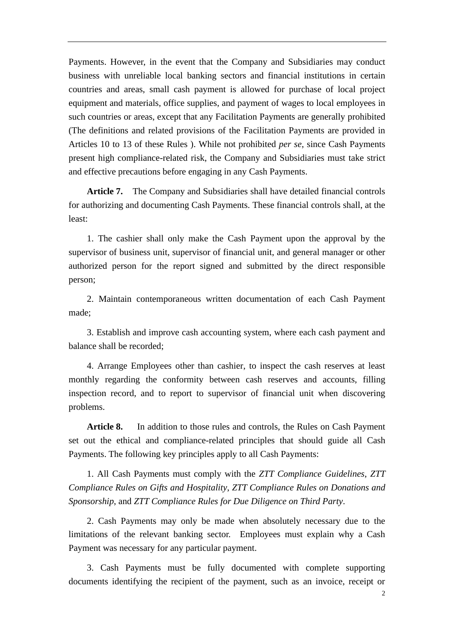Payments. However, in the event that the Company and Subsidiaries may conduct business with unreliable local banking sectors and financial institutions in certain countries and areas, small cash payment is allowed for purchase of local project equipment and materials, office supplies, and payment of wages to local employees in such countries or areas, except that any Facilitation Payments are generally prohibited (The definitions and related provisions of the Facilitation Payments are provided in Articles 10 to 13 of these Rules ). While not prohibited *per se*, since Cash Payments present high compliance-related risk, the Company and Subsidiaries must take strict and effective precautions before engaging in any Cash Payments.

**Article 7.** The Company and Subsidiaries shall have detailed financial controls for authorizing and documenting Cash Payments. These financial controls shall, at the least:

1. The cashier shall only make the Cash Payment upon the approval by the supervisor of business unit, supervisor of financial unit, and general manager or other authorized person for the report signed and submitted by the direct responsible person;

2. Maintain contemporaneous written documentation of each Cash Payment made;

3. Establish and improve cash accounting system, where each cash payment and balance shall be recorded;

4. Arrange Employees other than cashier, to inspect the cash reserves at least monthly regarding the conformity between cash reserves and accounts, filling inspection record, and to report to supervisor of financial unit when discovering problems.

**Article 8.** In addition to those rules and controls, the Rules on Cash Payment set out the ethical and compliance-related principles that should guide all Cash Payments. The following key principles apply to all Cash Payments:

1. All Cash Payments must comply with the *ZTT Compliance Guidelines*, *ZTT Compliance Rules on Gifts and Hospitality*, *ZTT Compliance Rules on Donations and Sponsorship*, and *ZTT Compliance Rules for Due Diligence on Third Party*.

2. Cash Payments may only be made when absolutely necessary due to the limitations of the relevant banking sector. Employees must explain why a Cash Payment was necessary for any particular payment.

3. Cash Payments must be fully documented with complete supporting documents identifying the recipient of the payment, such as an invoice, receipt or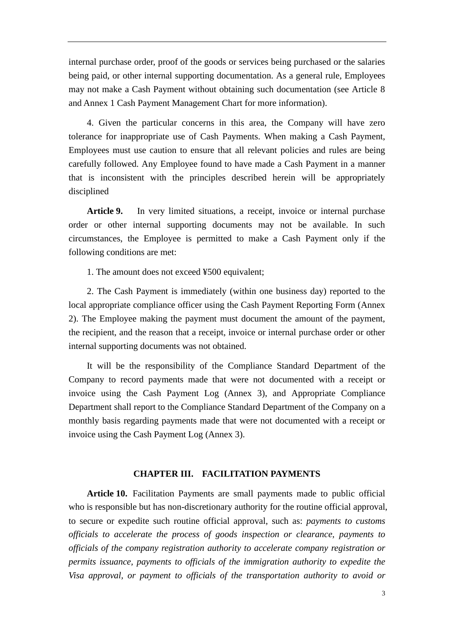internal purchase order, proof of the goods or services being purchased or the salaries being paid, or other internal supporting documentation. As a general rule, Employees may not make a Cash Payment without obtaining such documentation (see Article 8 and Annex 1 Cash Payment Management Chart for more information).

4. Given the particular concerns in this area, the Company will have zero tolerance for inappropriate use of Cash Payments. When making a Cash Payment, Employees must use caution to ensure that all relevant policies and rules are being carefully followed. Any Employee found to have made a Cash Payment in a manner that is inconsistent with the principles described herein will be appropriately disciplined

Article 9. In very limited situations, a receipt, invoice or internal purchase order or other internal supporting documents may not be available. In such circumstances, the Employee is permitted to make a Cash Payment only if the following conditions are met:

1. The amount does not exceed ¥500 equivalent;

2. The Cash Payment is immediately (within one business day) reported to the local appropriate compliance officer using the Cash Payment Reporting Form (Annex 2). The Employee making the payment must document the amount of the payment, the recipient, and the reason that a receipt, invoice or internal purchase order or other internal supporting documents was not obtained.

It will be the responsibility of the Compliance Standard Department of the Company to record payments made that were not documented with a receipt or invoice using the Cash Payment Log (Annex 3), and Appropriate Compliance Department shall report to the Compliance Standard Department of the Company on a monthly basis regarding payments made that were not documented with a receipt or invoice using the Cash Payment Log (Annex 3).

### **CHAPTER III. FACILITATION PAYMENTS**

**Article 10.** Facilitation Payments are small payments made to public official who is responsible but has non-discretionary authority for the routine official approval, to secure or expedite such routine official approval, such as: *payments to customs officials to accelerate the process of goods inspection or clearance, payments to officials of the company registration authority to accelerate company registration or permits issuance, payments to officials of the immigration authority to expedite the Visa approval, or payment to officials of the transportation authority to avoid or*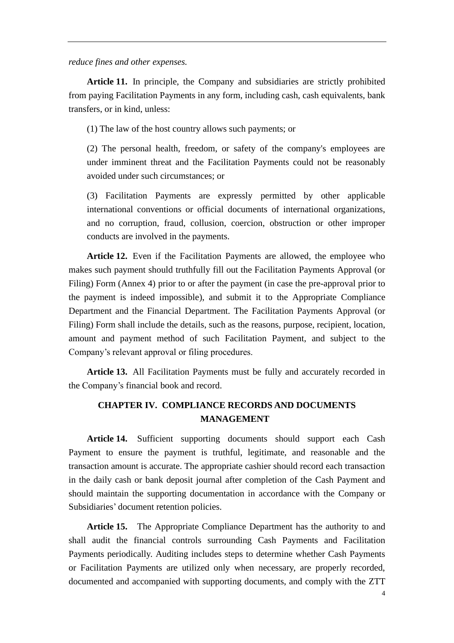*reduce fines and other expenses.*

**Article 11.** In principle, the Company and subsidiaries are strictly prohibited from paying Facilitation Payments in any form, including cash, cash equivalents, bank transfers, or in kind, unless:

(1) The law of the host country allows such payments; or

(2) The personal health, freedom, or safety of the company's employees are under imminent threat and the Facilitation Payments could not be reasonably avoided under such circumstances; or

(3) Facilitation Payments are expressly permitted by other applicable international conventions or official documents of international organizations, and no corruption, fraud, collusion, coercion, obstruction or other improper conducts are involved in the payments.

**Article 12.** Even if the Facilitation Payments are allowed, the employee who makes such payment should truthfully fill out the Facilitation Payments Approval (or Filing) Form (Annex 4) prior to or after the payment (in case the pre-approval prior to the payment is indeed impossible), and submit it to the Appropriate Compliance Department and the Financial Department. The Facilitation Payments Approval (or Filing) Form shall include the details, such as the reasons, purpose, recipient, location, amount and payment method of such Facilitation Payment, and subject to the Company's relevant approval or filing procedures.

**Article 13.** All Facilitation Payments must be fully and accurately recorded in the Company's financial book and record.

## **CHAPTER IV. COMPLIANCE RECORDS AND DOCUMENTS MANAGEMENT**

**Article 14.** Sufficient supporting documents should support each Cash Payment to ensure the payment is truthful, legitimate, and reasonable and the transaction amount is accurate. The appropriate cashier should record each transaction in the daily cash or bank deposit journal after completion of the Cash Payment and should maintain the supporting documentation in accordance with the Company or Subsidiaries' document retention policies.

**Article 15.** The Appropriate Compliance Department has the authority to and shall audit the financial controls surrounding Cash Payments and Facilitation Payments periodically. Auditing includes steps to determine whether Cash Payments or Facilitation Payments are utilized only when necessary, are properly recorded, documented and accompanied with supporting documents, and comply with the ZTT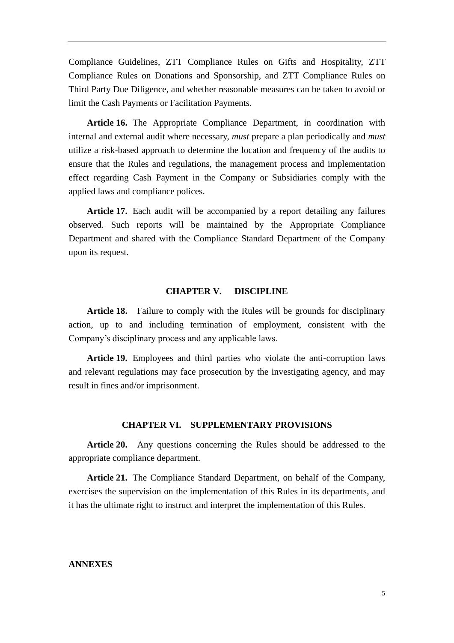Compliance Guidelines, ZTT Compliance Rules on Gifts and Hospitality, ZTT Compliance Rules on Donations and Sponsorship, and ZTT Compliance Rules on Third Party Due Diligence, and whether reasonable measures can be taken to avoid or limit the Cash Payments or Facilitation Payments.

**Article 16.** The Appropriate Compliance Department, in coordination with internal and external audit where necessary, *must* prepare a plan periodically and *must* utilize a risk-based approach to determine the location and frequency of the audits to ensure that the Rules and regulations, the management process and implementation effect regarding Cash Payment in the Company or Subsidiaries comply with the applied laws and compliance polices.

**Article 17.** Each audit will be accompanied by a report detailing any failures observed. Such reports will be maintained by the Appropriate Compliance Department and shared with the Compliance Standard Department of the Company upon its request.

#### **CHAPTER V. DISCIPLINE**

**Article 18.** Failure to comply with the Rules will be grounds for disciplinary action, up to and including termination of employment, consistent with the Company's disciplinary process and any applicable laws.

**Article 19.** Employees and third parties who violate the anti-corruption laws and relevant regulations may face prosecution by the investigating agency, and may result in fines and/or imprisonment.

#### **CHAPTER VI. SUPPLEMENTARY PROVISIONS**

**Article 20.** Any questions concerning the Rules should be addressed to the appropriate compliance department.

**Article 21.** The Compliance Standard Department, on behalf of the Company, exercises the supervision on the implementation of this Rules in its departments, and it has the ultimate right to instruct and interpret the implementation of this Rules.

### **ANNEXES**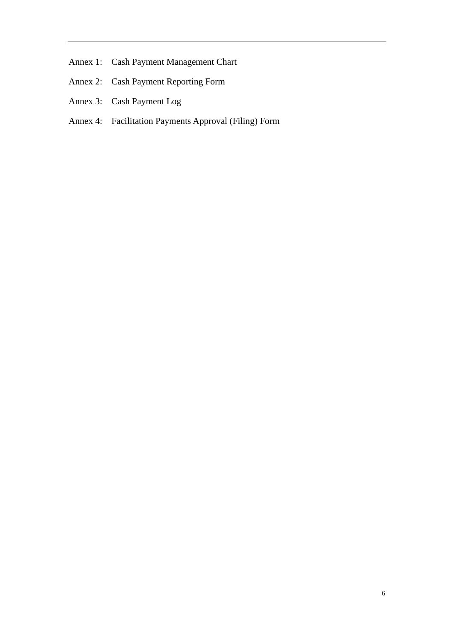- Annex 1: Cash Payment Management Chart
- Annex 2: Cash Payment Reporting Form
- Annex 3: Cash Payment Log
- Annex 4: Facilitation Payments Approval (Filing) Form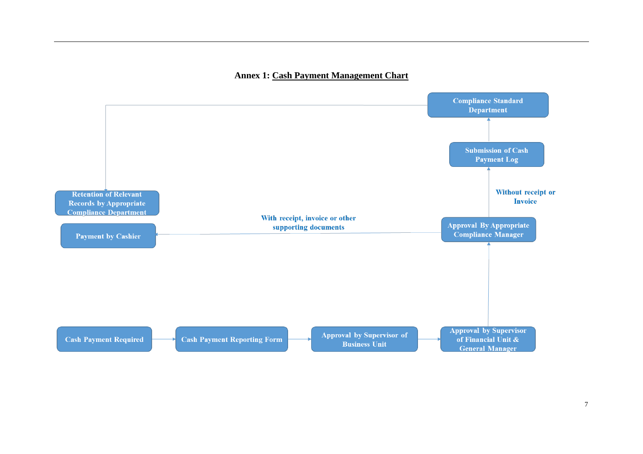### **Annex 1: Cash Payment Management Chart**

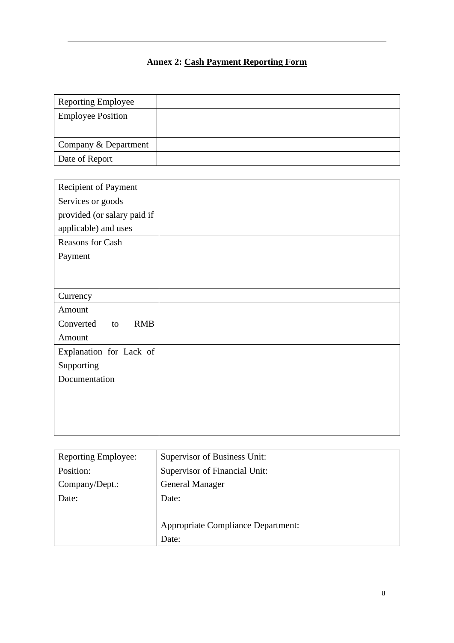# **Annex 2: Cash Payment Reporting Form**

| <b>Reporting Employee</b> |  |
|---------------------------|--|
| <b>Employee Position</b>  |  |
|                           |  |
| Company & Department      |  |
| Date of Report            |  |

| Recipient of Payment          |  |
|-------------------------------|--|
| Services or goods             |  |
| provided (or salary paid if   |  |
| applicable) and uses          |  |
| Reasons for Cash              |  |
| Payment                       |  |
|                               |  |
|                               |  |
| Currency                      |  |
| Amount                        |  |
| Converted<br><b>RMB</b><br>to |  |
| Amount                        |  |
| Explanation for Lack of       |  |
| Supporting                    |  |
| Documentation                 |  |
|                               |  |
|                               |  |
|                               |  |
|                               |  |

| <b>Reporting Employee:</b> | Supervisor of Business Unit:              |
|----------------------------|-------------------------------------------|
| Position:                  | Supervisor of Financial Unit:             |
| Company/Dept.:             | <b>General Manager</b>                    |
| Date:                      | Date:                                     |
|                            |                                           |
|                            | <b>Appropriate Compliance Department:</b> |
|                            | Date:                                     |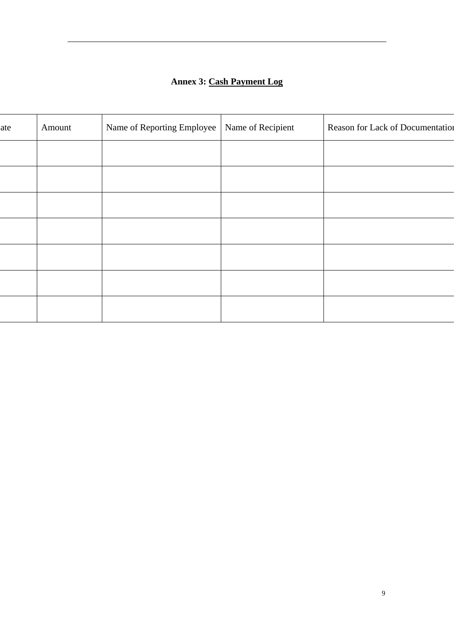## **Annex 3: Cash Payment Log**

| ate | Amount | Name of Reporting Employee | Name of Recipient | Reason for Lack of Documentation |
|-----|--------|----------------------------|-------------------|----------------------------------|
|     |        |                            |                   |                                  |
|     |        |                            |                   |                                  |
|     |        |                            |                   |                                  |
|     |        |                            |                   |                                  |
|     |        |                            |                   |                                  |
|     |        |                            |                   |                                  |
|     |        |                            |                   |                                  |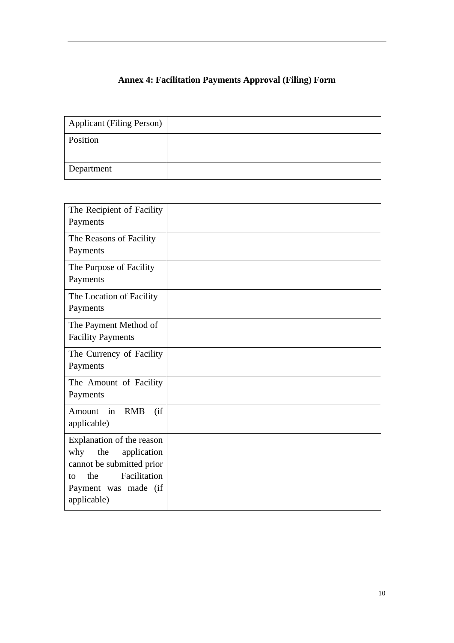# **Annex 4: Facilitation Payments Approval (Filing) Form**

| <b>Applicant (Filing Person)</b> |  |
|----------------------------------|--|
| Position                         |  |
| Department                       |  |

| The Recipient of Facility<br>Payments                                                                                                                   |  |
|---------------------------------------------------------------------------------------------------------------------------------------------------------|--|
| The Reasons of Facility<br>Payments                                                                                                                     |  |
| The Purpose of Facility<br>Payments                                                                                                                     |  |
| The Location of Facility<br>Payments                                                                                                                    |  |
| The Payment Method of<br><b>Facility Payments</b>                                                                                                       |  |
| The Currency of Facility<br>Payments                                                                                                                    |  |
| The Amount of Facility<br>Payments                                                                                                                      |  |
| in<br><b>RMB</b><br>(i f)<br>Amount<br>applicable)                                                                                                      |  |
| Explanation of the reason<br>the<br>why<br>application<br>cannot be submitted prior<br>Facilitation<br>the<br>to<br>Payment was made (if<br>applicable) |  |